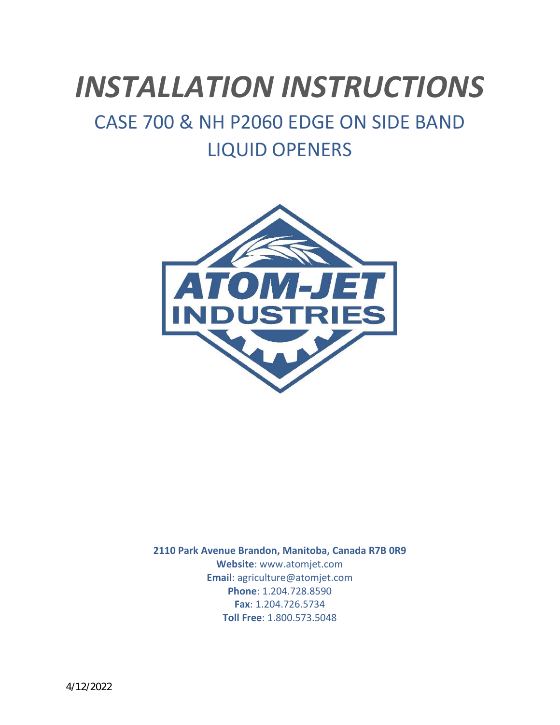# *INSTALLATION INSTRUCTIONS*

## CASE 700 & NH P2060 EDGE ON SIDE BAND LIQUID OPENERS



**2110 Park Avenue Brandon, Manitoba, Canada R7B 0R9 Website**: www.atomjet.com **Email**: agriculture@atomjet.com **Phone**: 1.204.728.8590 **Fax**: 1.204.726.5734 **Toll Free**: 1.800.573.5048

4/12/2022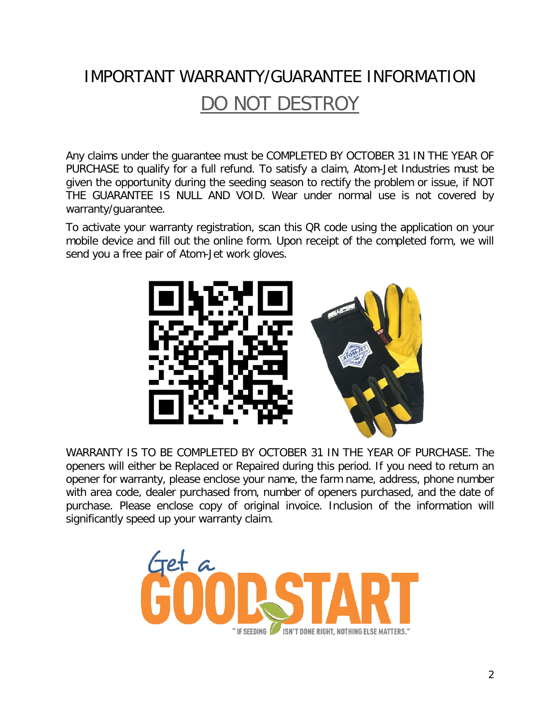## IMPORTANT WARRANTY/GUARANTEE INFORMATION DO NOT DESTROY

Any claims under the guarantee must be COMPLETED BY OCTOBER 31 IN THE YEAR OF PURCHASE to qualify for a full refund. To satisfy a claim, Atom-Jet Industries must be given the opportunity during the seeding season to rectify the problem or issue, if NOT THE GUARANTEE IS NULL AND VOID. Wear under normal use is not covered by warranty/guarantee.

To activate your warranty registration, scan this QR code using the application on your mobile device and fill out the online form. Upon receipt of the completed form, we will send you a free pair of Atom-Jet work gloves.



WARRANTY IS TO BE COMPLETED BY OCTOBER 31 IN THE YEAR OF PURCHASE. The openers will either be Replaced or Repaired during this period. If you need to return an opener for warranty, please enclose your name, the farm name, address, phone number with area code, dealer purchased from, number of openers purchased, and the date of purchase. Please enclose copy of original invoice. Inclusion of the information will significantly speed up your warranty claim.

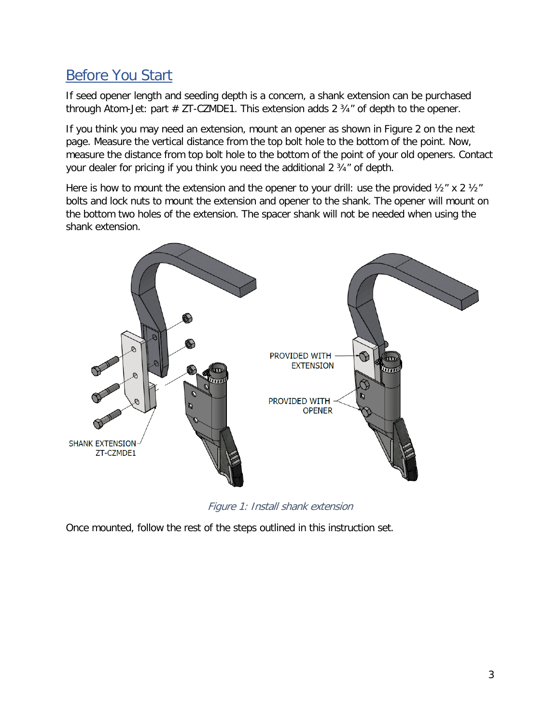### Before You Start

If seed opener length and seeding depth is a concern, a shank extension can be purchased through Atom-Jet: part  $# ZT-CZMDE1$ . This extension adds 2  $\frac{3}{4}$ " of depth to the opener.

If you think you may need an extension, mount an opener as shown in Figure 2 on the next page. Measure the vertical distance from the top bolt hole to the bottom of the point. Now, measure the distance from top bolt hole to the bottom of the point of your old openers. Contact your dealer for pricing if you think you need the additional 2 ¾" of depth.

Here is how to mount the extension and the opener to your drill: use the provided  $\frac{1}{2}$  x 2  $\frac{1}{2}$ " bolts and lock nuts to mount the extension and opener to the shank. The opener will mount on the bottom two holes of the extension. The spacer shank will not be needed when using the shank extension.



Figure 1: Install shank extension

Once mounted, follow the rest of the steps outlined in this instruction set.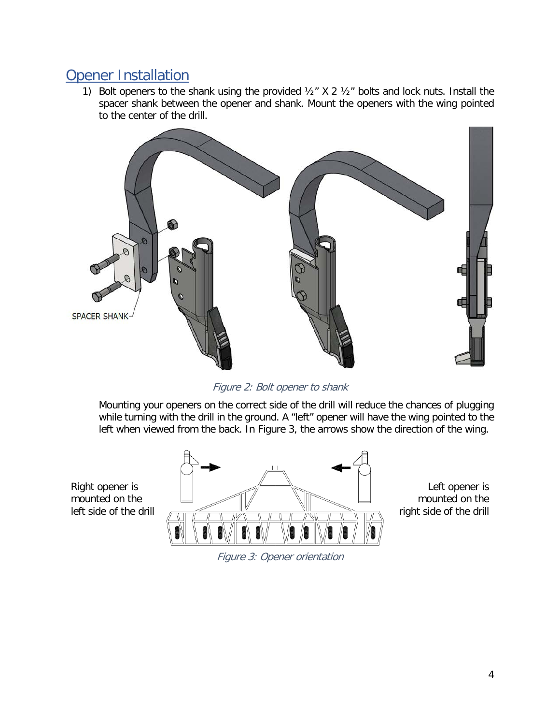#### Opener Installation

1) Bolt openers to the shank using the provided  $\frac{1}{2}$  X 2  $\frac{1}{2}$  bolts and lock nuts. Install the spacer shank between the opener and shank. Mount the openers with the wing pointed to the center of the drill.



Figure 2: Bolt opener to shank

Mounting your openers on the correct side of the drill will reduce the chances of plugging while turning with the drill in the ground. A "left" opener will have the wing pointed to the left when viewed from the back. In [Figure 3,](#page-3-0) the arrows show the direction of the wing.

<span id="page-3-0"></span>Right opener is mounted on the left side of the drill



Left opener is mounted on the right side of the drill

Figure 3: Opener orientation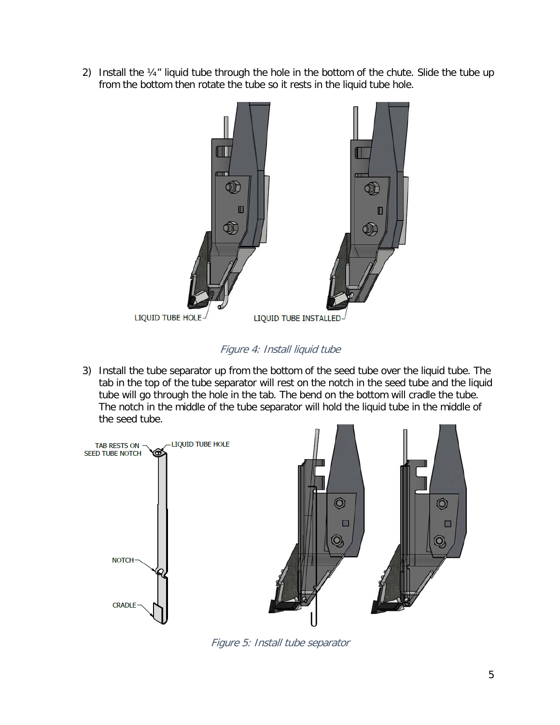2) Install the ¼" liquid tube through the hole in the bottom of the chute. Slide the tube up from the bottom then rotate the tube so it rests in the liquid tube hole.



Figure 4: Install liquid tube

3) Install the tube separator up from the bottom of the seed tube over the liquid tube. The tab in the top of the tube separator will rest on the notch in the seed tube and the liquid tube will go through the hole in the tab. The bend on the bottom will cradle the tube. The notch in the middle of the tube separator will hold the liquid tube in the middle of the seed tube.



Figure 5: Install tube separator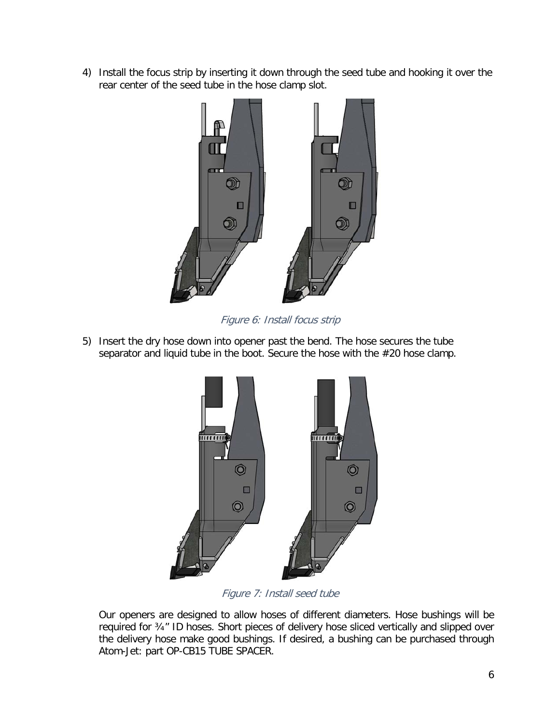4) Install the focus strip by inserting it down through the seed tube and hooking it over the rear center of the seed tube in the hose clamp slot.



Figure 6: Install focus strip

5) Insert the dry hose down into opener past the bend. The hose secures the tube separator and liquid tube in the boot. Secure the hose with the #20 hose clamp.



Figure 7: Install seed tube

Our openers are designed to allow hoses of different diameters. Hose bushings will be required for ¾" ID hoses. Short pieces of delivery hose sliced vertically and slipped over the delivery hose make good bushings. If desired, a bushing can be purchased through Atom-Jet: part OP-CB15 TUBE SPACER.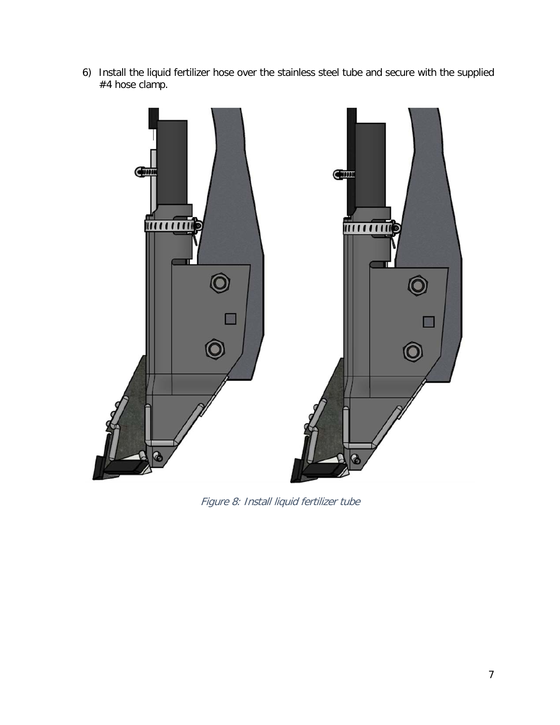6) Install the liquid fertilizer hose over the stainless steel tube and secure with the supplied #4 hose clamp.



Figure 8: Install liquid fertilizer tube